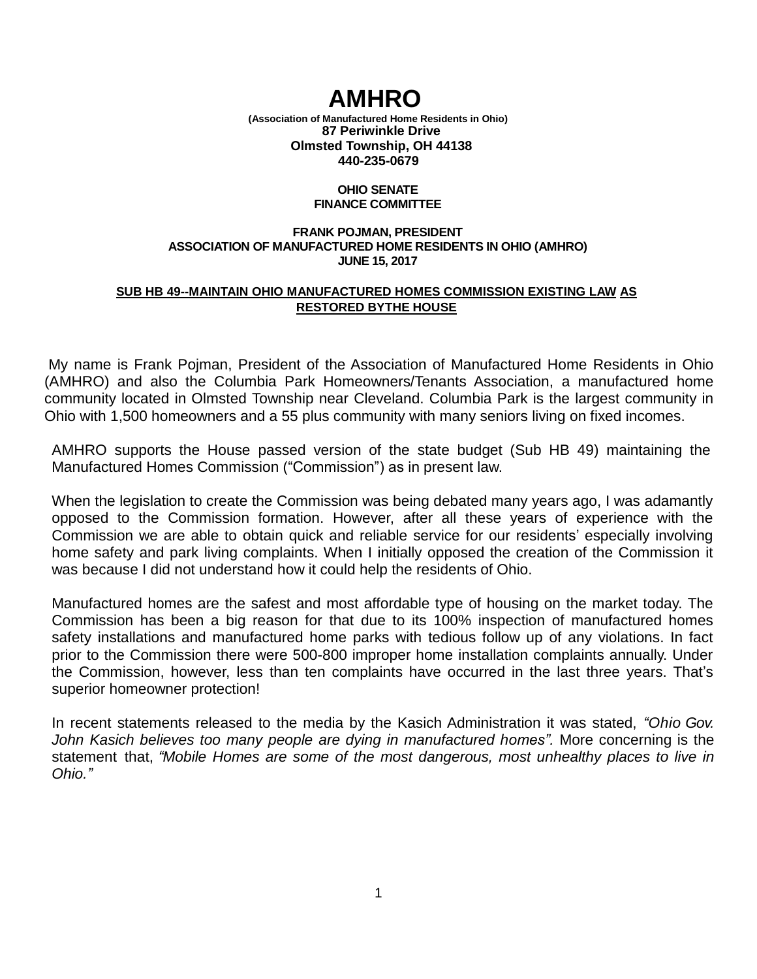## **AMHRO**

**(Association of Manufactured Home Residents in Ohio) 87 Periwinkle Drive Olmsted Township, OH 44138 440-235-0679**

## **OHIO SENATE FINANCE COMMITTEE**

## **FRANK POJMAN, PRESIDENT ASSOCIATION OF MANUFACTURED HOME RESIDENTS IN OHIO (AMHRO) JUNE 15, 2017**

## **SUB HB 49--MAINTAIN OHIO MANUFACTURED HOMES COMMISSION EXISTING LAW AS RESTORED BYTHE HOUSE**

My name is Frank Pojman, President of the Association of Manufactured Home Residents in Ohio (AMHRO) and also the Columbia Park Homeowners/Tenants Association, a manufactured home community located in Olmsted Township near Cleveland. Columbia Park is the largest community in Ohio with 1,500 homeowners and a 55 plus community with many seniors living on fixed incomes.

AMHRO supports the House passed version of the state budget (Sub HB 49) maintaining the Manufactured Homes Commission ("Commission") as in present law.

When the legislation to create the Commission was being debated many years ago, I was adamantly opposed to the Commission formation. However, after all these years of experience with the Commission we are able to obtain quick and reliable service for our residents' especially involving home safety and park living complaints. When I initially opposed the creation of the Commission it was because I did not understand how it could help the residents of Ohio.

Manufactured homes are the safest and most affordable type of housing on the market today. The Commission has been a big reason for that due to its 100% inspection of manufactured homes safety installations and manufactured home parks with tedious follow up of any violations. In fact prior to the Commission there were 500-800 improper home installation complaints annually. Under the Commission, however, less than ten complaints have occurred in the last three years. That's superior homeowner protection!

In recent statements released to the media by the Kasich Administration it was stated, *"Ohio Gov. John Kasich believes too many people are dying in manufactured homes".* More concerning is the statement that, *"Mobile Homes are some of the most dangerous, most unhealthy places to live in Ohio."*